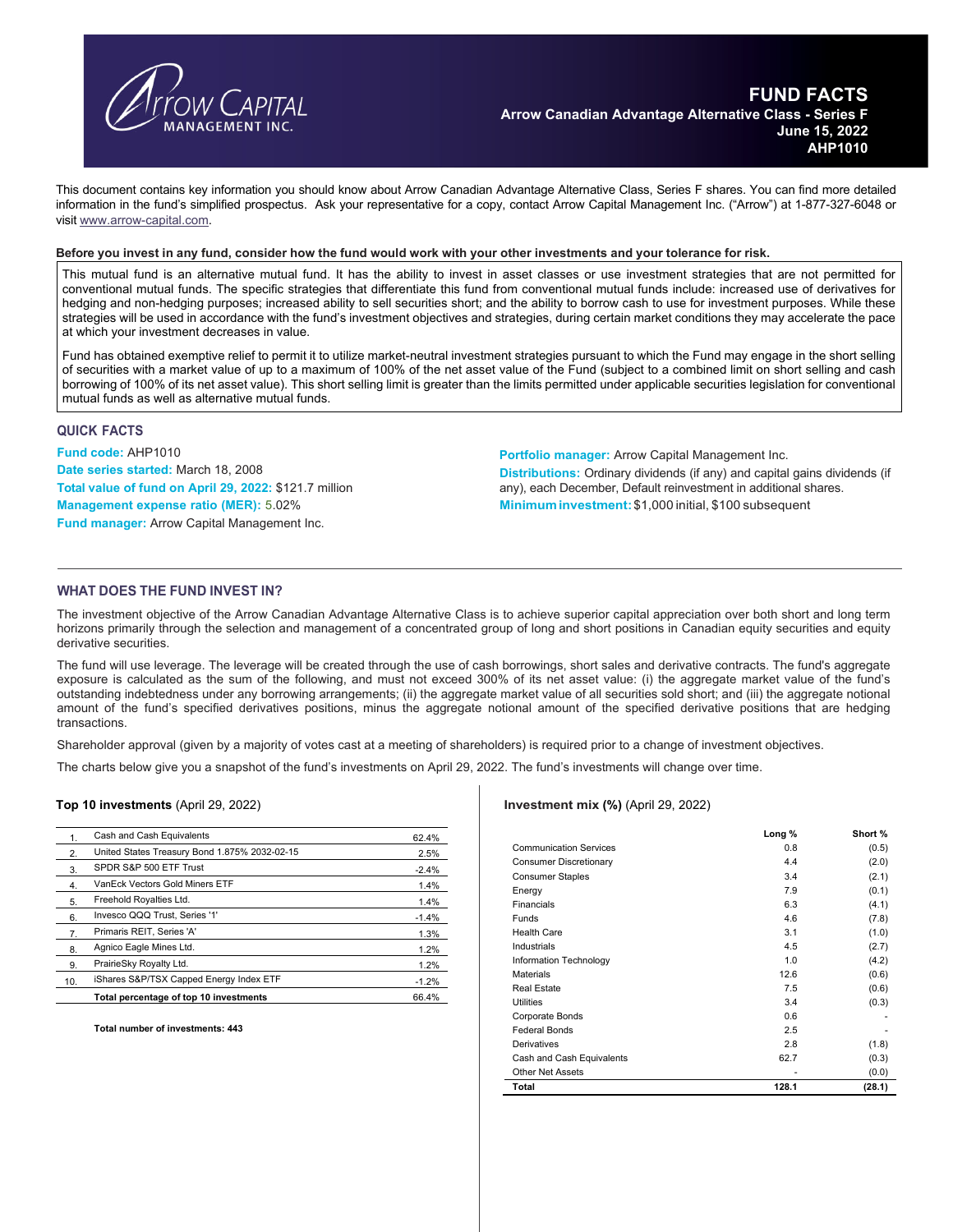

This document contains key information you should know about Arrow Canadian Advantage Alternative Class, Series F shares. You can find more detailed information in the fund's simplified prospectus. Ask your representative for a copy, contact Arrow Capital Management Inc. ("Arrow") at 1-877-327-6048 or visit www.arrow-capital.com.

#### **Before you invest in any fund, consider how the fund would work with your other investments and your tolerance for risk.**

This mutual fund is an alternative mutual fund. It has the ability to invest in asset classes or use investment strategies that are not permitted for conventional mutual funds. The specific strategies that differentiate this fund from conventional mutual funds include: increased use of derivatives for hedging and non-hedging purposes; increased ability to sell securities short; and the ability to borrow cash to use for investment purposes. While these strategies will be used in accordance with the fund's investment objectives and strategies, during certain market conditions they may accelerate the pace at which your investment decreases in value.

Fund has obtained exemptive relief to permit it to utilize market-neutral investment strategies pursuant to which the Fund may engage in the short selling of securities with a market value of up to a maximum of 100% of the net asset value of the Fund (subject to a combined limit on short selling and cash borrowing of 100% of its net asset value). This short selling limit is greater than the limits permitted under applicable securities legislation for conventional mutual funds as well as alternative mutual funds.

### **QUICK FACTS**

**Fund code:** AHP1010 **Date series started:** March 18, 2008 **Total value of fund on April 29, 2022:** \$121.7 million **Management expense ratio (MER):** 5.02% **Fund manager:** Arrow Capital Management Inc.

**Portfolio manager:** Arrow Capital Management Inc. **Distributions:** Ordinary dividends (if any) and capital gains dividends (if any), each December, Default reinvestment in additional shares. **Minimum investment:**\$1,000 initial, \$100 subsequent

# **WHAT DOES THE FUND INVEST IN?**

The investment objective of the Arrow Canadian Advantage Alternative Class is to achieve superior capital appreciation over both short and long term horizons primarily through the selection and management of a concentrated group of long and short positions in Canadian equity securities and equity derivative securities.

The fund will use leverage. The leverage will be created through the use of cash borrowings, short sales and derivative contracts. The fund's aggregate exposure is calculated as the sum of the following, and must not exceed 300% of its net asset value: (i) the aggregate market value of the fund's outstanding indebtedness under any borrowing arrangements; (ii) the aggregate market value of all securities sold short; and (iii) the aggregate notional amount of the fund's specified derivatives positions, minus the aggregate notional amount of the specified derivative positions that are hedging transactions.

Shareholder approval (given by a majority of votes cast at a meeting of shareholders) is required prior to a change of investment objectives.

The charts below give you a snapshot of the fund's investments on April 29, 2022. The fund's investments will change over time.

#### **Top 10 investments** (April 29, 2022)

| 1.  | Cash and Cash Equivalents                     | 62.4%   |
|-----|-----------------------------------------------|---------|
| 2.  | United States Treasury Bond 1.875% 2032-02-15 | 2.5%    |
| 3.  | SPDR S&P 500 ETF Trust                        | $-2.4%$ |
| 4.  | VanEck Vectors Gold Miners ETF                | 1.4%    |
| 5.  | Freehold Royalties Ltd.                       | 1.4%    |
| 6.  | Invesco QQQ Trust, Series '1'                 | $-1.4%$ |
| 7.  | Primaris REIT, Series 'A'                     | 1.3%    |
| 8.  | Agnico Eagle Mines Ltd.                       | 1.2%    |
| 9.  | PrairieSky Royalty Ltd.                       | 1.2%    |
| 10. | iShares S&P/TSX Capped Energy Index ETF       | $-1.2%$ |
|     | Total percentage of top 10 investments        | 66.4%   |
|     |                                               |         |

**Total number of investments: 443** 

### **Investment mix (%)** (April 29, 2022)

|                               | Long % | Short % |
|-------------------------------|--------|---------|
| <b>Communication Services</b> | 0.8    | (0.5)   |
| <b>Consumer Discretionary</b> | 4.4    | (2.0)   |
| <b>Consumer Staples</b>       | 3.4    | (2.1)   |
| Energy                        | 7.9    | (0.1)   |
| Financials                    | 6.3    | (4.1)   |
| Funds                         | 4.6    | (7.8)   |
| <b>Health Care</b>            | 3.1    | (1.0)   |
| Industrials                   | 4.5    | (2.7)   |
| Information Technology        | 1.0    | (4.2)   |
| <b>Materials</b>              | 12.6   | (0.6)   |
| <b>Real Estate</b>            | 7.5    | (0.6)   |
| <b>Utilities</b>              | 3.4    | (0.3)   |
| Corporate Bonds               | 0.6    |         |
| <b>Federal Bonds</b>          | 2.5    |         |
| Derivatives                   | 2.8    | (1.8)   |
| Cash and Cash Equivalents     | 62.7   | (0.3)   |
| <b>Other Net Assets</b>       |        | (0.0)   |
| Total                         | 128.1  | (28.1)  |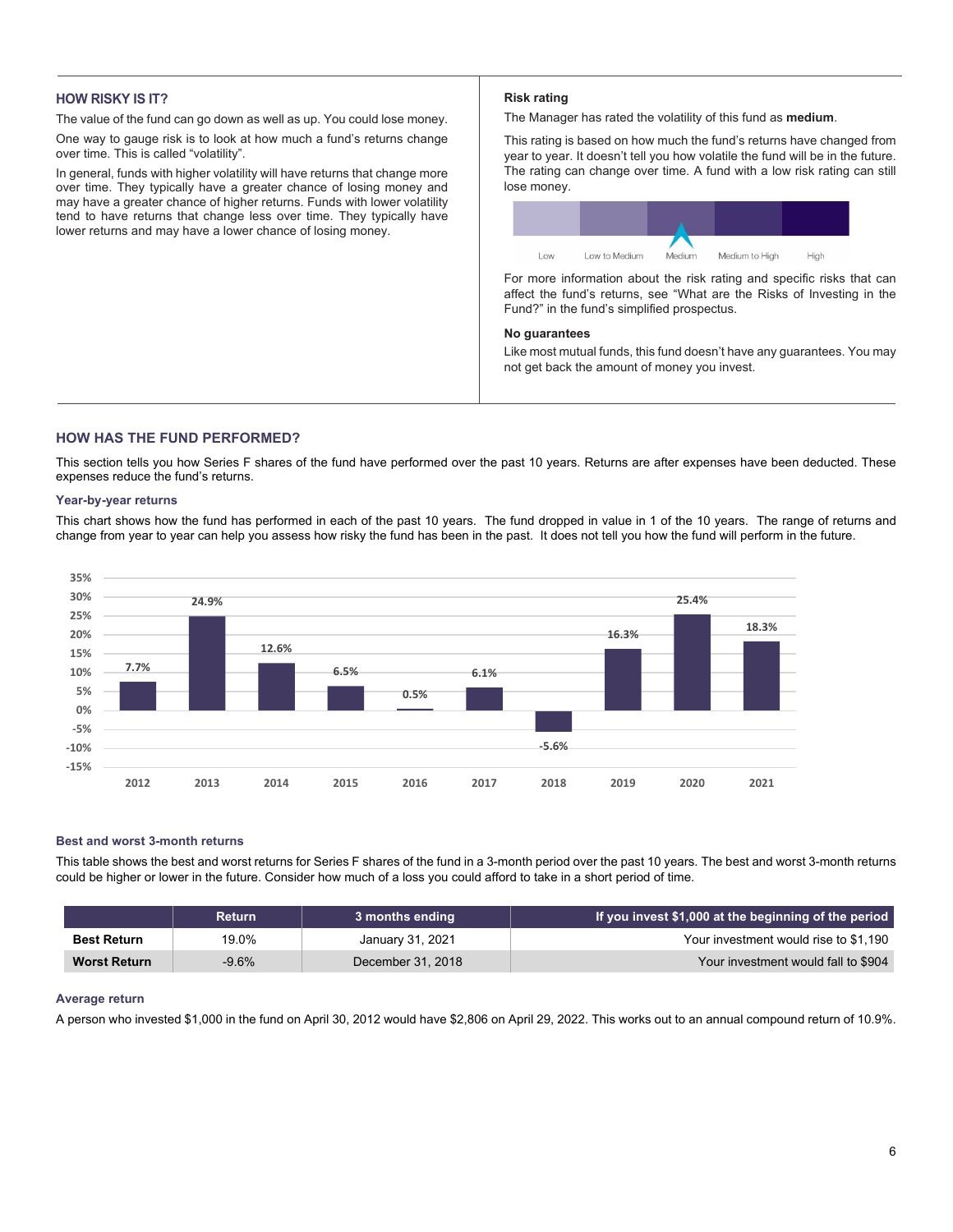# **HOW RISKY IS IT?**

The value of the fund can go down as well as up. You could lose money.

One way to gauge risk is to look at how much a fund's returns change over time. This is called "volatility".

In general, funds with higher volatility will have returns that change more over time. They typically have a greater chance of losing money and may have a greater chance of higher returns. Funds with lower volatility tend to have returns that change less over time. They typically have lower returns and may have a lower chance of losing money.

### **Risk rating**

The Manager has rated the volatility of this fund as **medium**.

This rating is based on how much the fund's returns have changed from year to year. It doesn't tell you how volatile the fund will be in the future. The rating can change over time. A fund with a low risk rating can still lose money.



For more information about the risk rating and specific risks that can affect the fund's returns, see "What are the Risks of Investing in the Fund?" in the fund's simplified prospectus.

### **No guarantees**

Like most mutual funds, this fund doesn't have any guarantees. You may not get back the amount of money you invest.

# **HOW HAS THE FUND PERFORMED?**

This section tells you how Series F shares of the fund have performed over the past 10 years. Returns are after expenses have been deducted. These expenses reduce the fund's returns.

### **Year-by-year returns**

This chart shows how the fund has performed in each of the past 10 years. The fund dropped in value in 1 of the 10 years. The range of returns and change from year to year can help you assess how risky the fund has been in the past. It does not tell you how the fund will perform in the future.



### **Best and worst 3-month returns**

This table shows the best and worst returns for Series F shares of the fund in a 3-month period over the past 10 years. The best and worst 3-month returns could be higher or lower in the future. Consider how much of a loss you could afford to take in a short period of time.

|                     | Return   | 3 months ending   | If you invest \$1,000 at the beginning of the period |
|---------------------|----------|-------------------|------------------------------------------------------|
| <b>Best Return</b>  | 19.0%    | January 31, 2021  | Your investment would rise to \$1,190                |
| <b>Worst Return</b> | $-9.6\%$ | December 31, 2018 | Your investment would fall to \$904                  |

### **Average return**

A person who invested \$1,000 in the fund on April 30, 2012 would have \$2,806 on April 29, 2022. This works out to an annual compound return of 10.9%.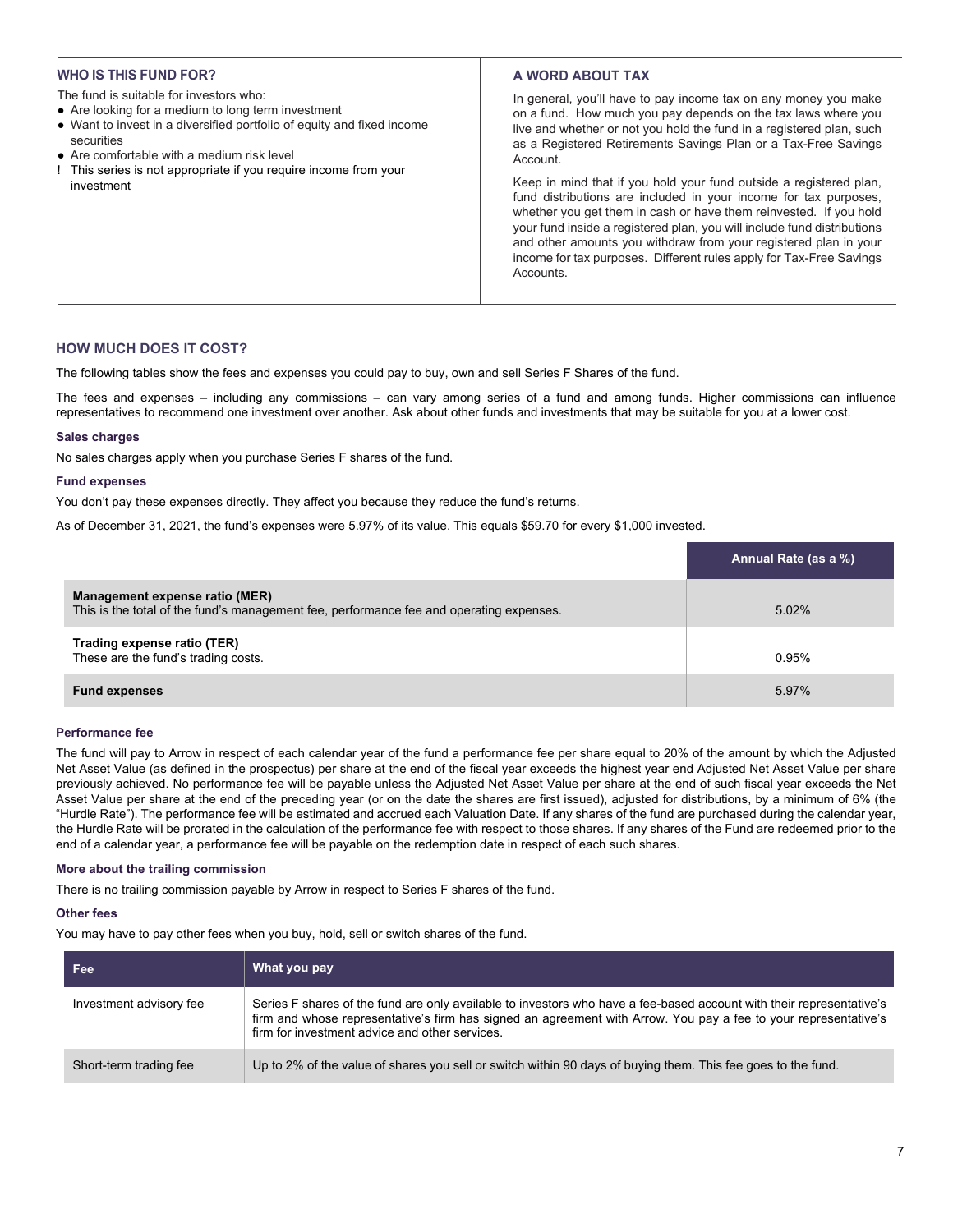### **WHO IS THIS FUND FOR?**

- The fund is suitable for investors who:
- Are looking for a medium to long term investment
- Want to invest in a diversified portfolio of equity and fixed income securities
- Are comfortable with a medium risk level
- ! This series is not appropriate if you require income from your investment

# **A WORD ABOUT TAX**

In general, you'll have to pay income tax on any money you make on a fund. How much you pay depends on the tax laws where you live and whether or not you hold the fund in a registered plan, such as a Registered Retirements Savings Plan or a Tax-Free Savings Account.

Keep in mind that if you hold your fund outside a registered plan, fund distributions are included in your income for tax purposes, whether you get them in cash or have them reinvested. If you hold your fund inside a registered plan, you will include fund distributions and other amounts you withdraw from your registered plan in your income for tax purposes. Different rules apply for Tax-Free Savings **Accounts** 

### **HOW MUCH DOES IT COST?**

The following tables show the fees and expenses you could pay to buy, own and sell Series F Shares of the fund.

The fees and expenses – including any commissions – can vary among series of a fund and among funds. Higher commissions can influence representatives to recommend one investment over another. Ask about other funds and investments that may be suitable for you at a lower cost.

### **Sales charges**

No sales charges apply when you purchase Series F shares of the fund.

### **Fund expenses**

You don't pay these expenses directly. They affect you because they reduce the fund's returns.

As of December 31, 2021, the fund's expenses were 5.97% of its value. This equals \$59.70 for every \$1,000 invested.

|                                                                                                                           | Annual Rate (as a %) |
|---------------------------------------------------------------------------------------------------------------------------|----------------------|
| Management expense ratio (MER)<br>This is the total of the fund's management fee, performance fee and operating expenses. | 5.02%                |
| Trading expense ratio (TER)<br>These are the fund's trading costs.                                                        | 0.95%                |
| <b>Fund expenses</b>                                                                                                      | 5.97%                |

### **Performance fee**

The fund will pay to Arrow in respect of each calendar year of the fund a performance fee per share equal to 20% of the amount by which the Adjusted Net Asset Value (as defined in the prospectus) per share at the end of the fiscal year exceeds the highest year end Adjusted Net Asset Value per share previously achieved. No performance fee will be payable unless the Adjusted Net Asset Value per share at the end of such fiscal year exceeds the Net Asset Value per share at the end of the preceding year (or on the date the shares are first issued), adjusted for distributions, by a minimum of 6% (the "Hurdle Rate"). The performance fee will be estimated and accrued each Valuation Date. If any shares of the fund are purchased during the calendar year, the Hurdle Rate will be prorated in the calculation of the performance fee with respect to those shares. If any shares of the Fund are redeemed prior to the end of a calendar year, a performance fee will be payable on the redemption date in respect of each such shares.

### **More about the trailing commission**

There is no trailing commission payable by Arrow in respect to Series F shares of the fund.

### **Other fees**

You may have to pay other fees when you buy, hold, sell or switch shares of the fund.

| Fee:                    | What you pay                                                                                                                                                                                                                                                                              |
|-------------------------|-------------------------------------------------------------------------------------------------------------------------------------------------------------------------------------------------------------------------------------------------------------------------------------------|
| Investment advisory fee | Series F shares of the fund are only available to investors who have a fee-based account with their representative's<br>firm and whose representative's firm has signed an agreement with Arrow. You pay a fee to your representative's<br>firm for investment advice and other services. |
| Short-term trading fee  | Up to 2% of the value of shares you sell or switch within 90 days of buying them. This fee goes to the fund.                                                                                                                                                                              |